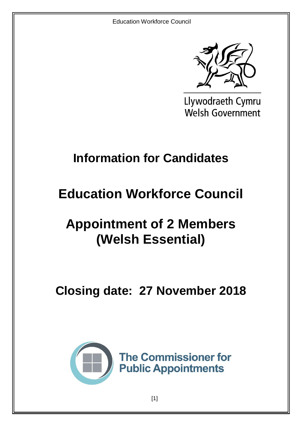

Llywodraeth Cymru Welsh Government

# **Information for Candidates**

# **Education Workforce Council**

# **Appointment of 2 Members (Welsh Essential)**

# **Closing date: 27 November 2018**

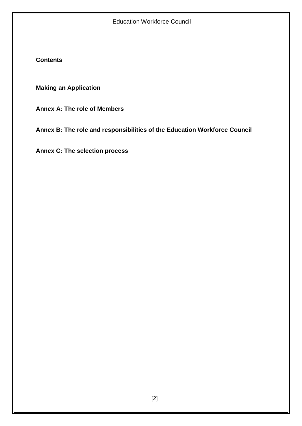**Contents**

**Making an Application**

**Annex A: The role of Members**

**Annex B: The role and responsibilities of the Education Workforce Council**

**Annex C: The selection process**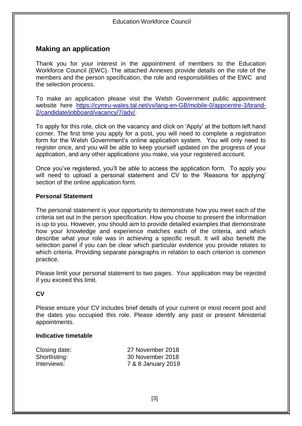# **Making an application**

Thank you for your interest in the appointment of members to the Education Workforce Council (EWC). The attached Annexes provide details on the role of the members and the person specification, the role and responsibilities of the EWC and the selection process.

To make an application please visit the Welsh Government public appointment website here [https://cymru-wales.tal.net/vx/lang-en-GB/mobile-0/appcentre-3/brand-](https://cymru-wales.tal.net/vx/lang-en-GB/mobile-0/appcentre-3/brand-2/candidate/jobboard/vacancy/7/adv/)[2/candidate/jobboard/vacancy/7/adv/.](https://cymru-wales.tal.net/vx/lang-en-GB/mobile-0/appcentre-3/brand-2/candidate/jobboard/vacancy/7/adv/)

To apply for this role, click on the vacancy and click on 'Apply' at the bottom left hand corner. The first time you apply for a post, you will need to complete a registration form for the Welsh Government's online application system. You will only need to register once, and you will be able to keep yourself updated on the progress of your application, and any other applications you make, via your registered account.

Once you've registered, you'll be able to access the application form. To apply you will need to upload a personal statement and CV to the 'Reasons for applying' section of the online application form.

#### **Personal Statement**

The personal statement is your opportunity to demonstrate how you meet each of the criteria set out in the person specification. How you choose to present the information is up to you. However, you should aim to provide detailed examples that demonstrate how your knowledge and experience matches each of the criteria, and which describe what your role was in achieving a specific result. It will also benefit the selection panel if you can be clear which particular evidence you provide relates to which criteria. Providing separate paragraphs in relation to each criterion is common practice.

Please limit your personal statement to two pages. Your application may be rejected if you exceed this limit.

## **CV**

Please ensure your CV includes brief details of your current or most recent post and the dates you occupied this role. Please identify any past or present Ministerial appointments.

#### **Indicative timetable**

| Closing date: | 27 November 2018   |
|---------------|--------------------|
| Shortlisting: | 30 November 2018   |
| Interviews:   | 7 & 8 January 2019 |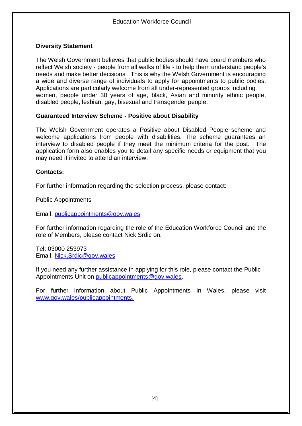## **Diversity Statement**

The Welsh Government believes that public bodies should have board members who reflect Welsh society - people from all walks of life - to help them understand people's needs and make better decisions. This is why the Welsh Government is encouraging a wide and diverse range of individuals to apply for appointments to public bodies. Applications are particularly welcome from all under-represented groups including women, people under 30 years of age, black, Asian and minority ethnic people, disabled people, lesbian, gay, bisexual and transgender people.

#### **Guaranteed Interview Scheme - Positive about Disability**

The Welsh Government operates a Positive about Disabled People scheme and welcome applications from people with disabilities. The scheme guarantees an interview to disabled people if they meet the minimum criteria for the post. The application form also enables you to detail any specific needs or equipment that you may need if invited to attend an interview.

#### **Contacts:**

For further information regarding the selection process, please contact:

Public Appointments

Email: [publicappointments@gov.wales](mailto:publicappointments@gov.wales)

For further information regarding the role of the Education Workforce Council and the role of Members, please contact Nick Srdic on:

Tel: 03000 253973 Email: [Nick.Srdic@gov.wales](mailto:Nick.Srdic@gov.wales)

If you need any further assistance in applying for this role, please contact the Public Appointments Unit on [publicappointments@gov.wales.](mailto:publicappointments@gov.wales)

For further information about Public Appointments in Wales, please visit [www.gov.wales/publicappointments.](http://www.gov.wales/publicappointments)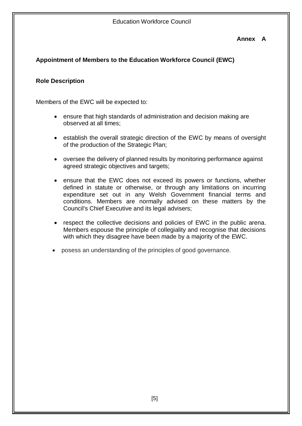## **Annex A**

### **Appointment of Members to the Education Workforce Council (EWC)**

#### **Role Description**

Members of the EWC will be expected to:

- ensure that high standards of administration and decision making are observed at all times;
- establish the overall strategic direction of the EWC by means of oversight of the production of the Strategic Plan;
- oversee the delivery of planned results by monitoring performance against agreed strategic objectives and targets;
- ensure that the EWC does not exceed its powers or functions, whether defined in statute or otherwise, or through any limitations on incurring expenditure set out in any Welsh Government financial terms and conditions. Members are normally advised on these matters by the Council's Chief Executive and its legal advisers;
- respect the collective decisions and policies of EWC in the public arena. Members espouse the principle of collegiality and recognise that decisions with which they disagree have been made by a majority of the EWC.
- posess an understanding of the principles of good governance.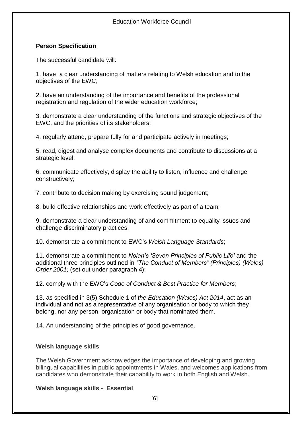## **Person Specification**

The successful candidate will:

1. have a clear understanding of matters relating to Welsh education and to the objectives of the EWC;

2. have an understanding of the importance and benefits of the professional registration and regulation of the wider education workforce;

3. demonstrate a clear understanding of the functions and strategic objectives of the EWC, and the priorities of its stakeholders;

4. regularly attend, prepare fully for and participate actively in meetings;

5. read, digest and analyse complex documents and contribute to discussions at a strategic level;

6. communicate effectively, display the ability to listen, influence and challenge constructively;

7. contribute to decision making by exercising sound judgement;

8. build effective relationships and work effectively as part of a team;

9. demonstrate a clear understanding of and commitment to equality issues and challenge discriminatory practices;

10. demonstrate a commitment to EWC's *Welsh Language Standards*;

11. demonstrate a commitment to *Nolan's 'Seven Principles of Public Life'* and the additional three principles outlined in *"The Conduct of Members" (Principles) (Wales) Order 2001;* (set out under paragraph 4);

12. comply with the EWC's *Code of Conduct & Best Practice for Members*;

13. as specified in 3(5) Schedule 1 of *the Education (Wales) Act 2014*, act as an individual and not as a representative of any organisation or body to which they belong, nor any person, organisation or body that nominated them.

14. An understanding of the principles of good governance.

#### **Welsh language skills**

The Welsh Government acknowledges the importance of developing and growing bilingual capabilities in public appointments in Wales, and welcomes applications from candidates who demonstrate their capability to work in both English and Welsh.

**Welsh language skills - Essential**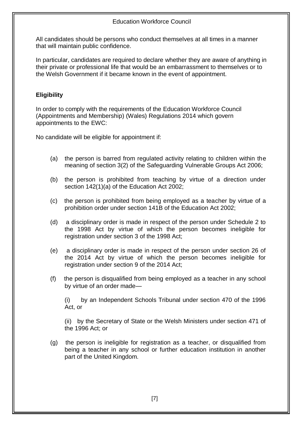All candidates should be persons who conduct themselves at all times in a manner that will maintain public confidence.

In particular, candidates are required to declare whether they are aware of anything in their private or professional life that would be an embarrassment to themselves or to the Welsh Government if it became known in the event of appointment.

### **Eligibility**

In order to comply with the requirements of the Education Workforce Council (Appointments and Membership) (Wales) Regulations 2014 which govern appointments to the EWC:

No candidate will be eligible for appointment if:

- (a) the person is barred from regulated activity relating to children within the meaning of section 3(2) of the Safeguarding Vulnerable Groups Act 2006;
- (b) the person is prohibited from teaching by virtue of a direction under section 142(1)(a) of the Education Act 2002;
- (c) the person is prohibited from being employed as a teacher by virtue of a prohibition order under section 141B of the Education Act 2002;
- (d) a disciplinary order is made in respect of the person under Schedule 2 to the 1998 Act by virtue of which the person becomes ineligible for registration under section 3 of the 1998 Act;
- (e) a disciplinary order is made in respect of the person under section 26 of the 2014 Act by virtue of which the person becomes ineligible for registration under section 9 of the 2014 Act;
- (f) the person is disqualified from being employed as a teacher in any school by virtue of an order made—

(i) by an Independent Schools Tribunal under section 470 of the 1996 Act, or

(ii) by the Secretary of State or the Welsh Ministers under section 471 of the 1996 Act; or

(g) the person is ineligible for registration as a teacher, or disqualified from being a teacher in any school or further education institution in another part of the United Kingdom.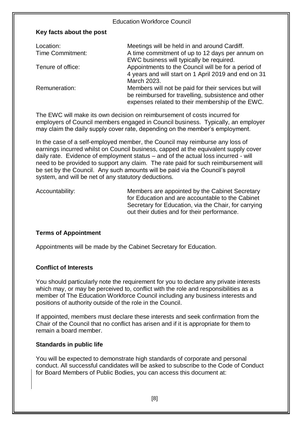|                          | <b>Education Workforce Council</b>                                                                                                                              |
|--------------------------|-----------------------------------------------------------------------------------------------------------------------------------------------------------------|
| Key facts about the post |                                                                                                                                                                 |
| Location:                | Meetings will be held in and around Cardiff.                                                                                                                    |
| Time Commitment:         | A time commitment of up to 12 days per annum on<br>EWC business will typically be required.                                                                     |
| Tenure of office:        | Appointments to the Council will be for a period of<br>4 years and will start on 1 April 2019 and end on 31<br>March 2023.                                      |
| Remuneration:            | Members will not be paid for their services but will<br>be reimbursed for travelling, subsistence and other<br>expenses related to their membership of the EWC. |

The EWC will make its own decision on reimbursement of costs incurred for employers of Council members engaged in Council business. Typically, an employer may claim the daily supply cover rate, depending on the member's employment.

In the case of a self-employed member, the Council may reimburse any loss of earnings incurred whilst on Council business, capped at the equivalent supply cover daily rate. Evidence of employment status – and of the actual loss incurred - will need to be provided to support any claim. The rate paid for such reimbursement will be set by the Council. Any such amounts will be paid via the Council's payroll system, and will be net of any statutory deductions.

Accountability: Members are appointed by the Cabinet Secretary for Education and are accountable to the Cabinet Secretary for Education, via the Chair, for carrying out their duties and for their performance.

#### **Terms of Appointment**

Appointments will be made by the Cabinet Secretary for Education.

#### **Conflict of Interests**

You should particularly note the requirement for you to declare any private interests which may, or may be perceived to, conflict with the role and responsibilities as a member of The Education Workforce Council including any business interests and positions of authority outside of the role in the Council.

If appointed, members must declare these interests and seek confirmation from the Chair of the Council that no conflict has arisen and if it is appropriate for them to remain a board member.

#### **Standards in public life**

You will be expected to demonstrate high standards of corporate and personal conduct. All successful candidates will be asked to subscribe to the Code of Conduct for Board Members of Public Bodies, you can access this document at: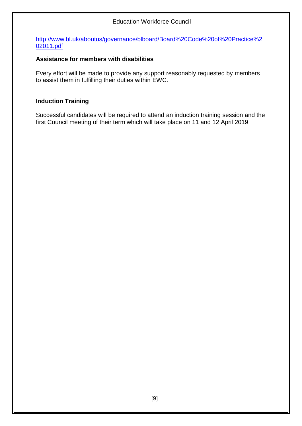[http://www.bl.uk/aboutus/governance/blboard/Board%20Code%20of%20Practice%2](http://www.bl.uk/aboutus/governance/blboard/Board%20Code%20of%20Practice%202011.pdf) [02011.pdf](http://www.bl.uk/aboutus/governance/blboard/Board%20Code%20of%20Practice%202011.pdf)

### **Assistance for members with disabilities**

Every effort will be made to provide any support reasonably requested by members to assist them in fulfilling their duties within EWC.

### **Induction Training**

Successful candidates will be required to attend an induction training session and the first Council meeting of their term which will take place on 11 and 12 April 2019.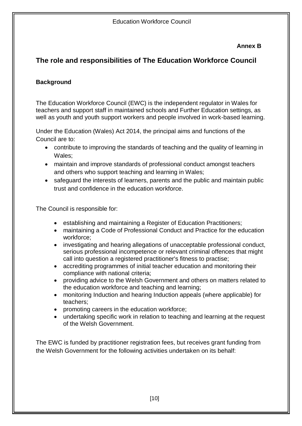# **Annex B**

# **The role and responsibilities of The Education Workforce Council**

# **Background**

The Education Workforce Council (EWC) is the independent regulator in Wales for teachers and support staff in maintained schools and Further Education settings, as well as youth and youth support workers and people involved in work-based learning.

Under the Education (Wales) Act 2014, the principal aims and functions of the Council are to:

- contribute to improving the standards of teaching and the quality of learning in Wales;
- maintain and improve standards of professional conduct amongst teachers and others who support teaching and learning in Wales;
- safeguard the interests of learners, parents and the public and maintain public trust and confidence in the education workforce.

The Council is responsible for:

- establishing and maintaining a Register of Education Practitioners;
- maintaining a Code of Professional Conduct and Practice for the education workforce;
- investigating and hearing allegations of unacceptable professional conduct, serious professional incompetence or relevant criminal offences that might call into question a registered practitioner's fitness to practise;
- accrediting programmes of initial teacher education and monitoring their compliance with national criteria;
- providing advice to the Welsh Government and others on matters related to the education workforce and teaching and learning;
- monitoring Induction and hearing Induction appeals (where applicable) for teachers;
- promoting careers in the education workforce;
- undertaking specific work in relation to teaching and learning at the request of the Welsh Government.

The EWC is funded by practitioner registration fees, but receives grant funding from the Welsh Government for the following activities undertaken on its behalf: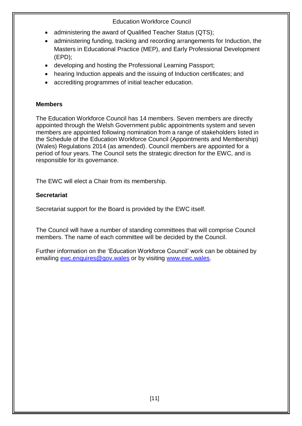- administering the award of Qualified Teacher Status (QTS);
- administering funding, tracking and recording arrangements for Induction, the Masters in Educational Practice (MEP), and Early Professional Development (EPD);
- developing and hosting the Professional Learning Passport;
- hearing Induction appeals and the issuing of Induction certificates; and
- accrediting programmes of initial teacher education.

## **Members**

The Education Workforce Council has 14 members. Seven members are directly appointed through the Welsh Government public appointments system and seven members are appointed following nomination from a range of stakeholders listed in the Schedule of the Education Workforce Council (Appointments and Membership) (Wales) Regulations 2014 (as amended). Council members are appointed for a period of four years. The Council sets the strategic direction for the EWC, and is responsible for its governance.

The EWC will elect a Chair from its membership.

## **Secretariat**

Secretariat support for the Board is provided by the EWC itself.

The Council will have a number of standing committees that will comprise Council members. The name of each committee will be decided by the Council.

Further information on the 'Education Workforce Council' work can be obtained by emailing [ewc.enquires@gov.wales](mailto:ewc.enquires@gov.wales) or by visiting [www.ewc.wales.](http://www.ewc.wales/)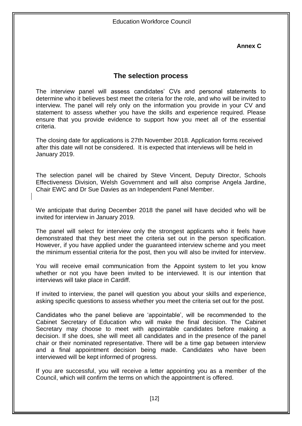## **Annex C**

# **The selection process**

The interview panel will assess candidates' CVs and personal statements to determine who it believes best meet the criteria for the role, and who will be invited to interview. The panel will rely only on the information you provide in your CV and statement to assess whether you have the skills and experience required. Please ensure that you provide evidence to support how you meet all of the essential criteria.

The closing date for applications is 27th November 2018. Application forms received after this date will not be considered. It is expected that interviews will be held in January 2019.

The selection panel will be chaired by Steve Vincent, Deputy Director, Schools Effectiveness Division, Welsh Government and will also comprise Angela Jardine, Chair EWC and Dr Sue Davies as an Independent Panel Member.

We anticipate that during December 2018 the panel will have decided who will be invited for interview in January 2019.

The panel will select for interview only the strongest applicants who it feels have demonstrated that they best meet the criteria set out in the person specification. However, if you have applied under the guaranteed interview scheme and you meet the minimum essential criteria for the post, then you will also be invited for interview.

You will receive email communication from the Appoint system to let you know whether or not you have been invited to be interviewed. It is our intention that interviews will take place in Cardiff.

If invited to interview, the panel will question you about your skills and experience, asking specific questions to assess whether you meet the criteria set out for the post.

Candidates who the panel believe are 'appointable', will be recommended to the Cabinet Secretary of Education who will make the final decision. The Cabinet Secretary may choose to meet with appointable candidates before making a decision. If she does, she will meet all candidates and in the presence of the panel chair or their nominated representative. There will be a time gap between interview and a final appointment decision being made. Candidates who have been interviewed will be kept informed of progress.

If you are successful, you will receive a letter appointing you as a member of the Council, which will confirm the terms on which the appointment is offered.